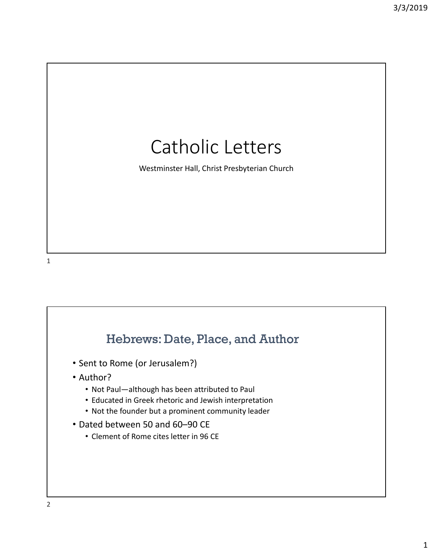# Catholic Letters

Westminster Hall, Christ Presbyterian Church

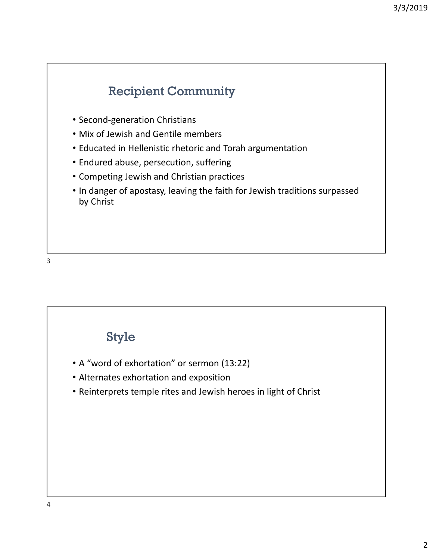#### Recipient Community

- Second‐generation Christians
- Mix of Jewish and Gentile members
- Educated in Hellenistic rhetoric and Torah argumentation
- Endured abuse, persecution, suffering
- Competing Jewish and Christian practices
- In danger of apostasy, leaving the faith for Jewish traditions surpassed by Christ

3

#### Style

- A "word of exhortation" or sermon (13:22)
- Alternates exhortation and exposition
- Reinterprets temple rites and Jewish heroes in light of Christ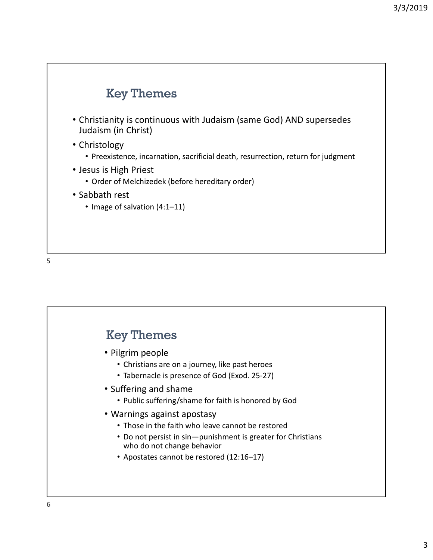

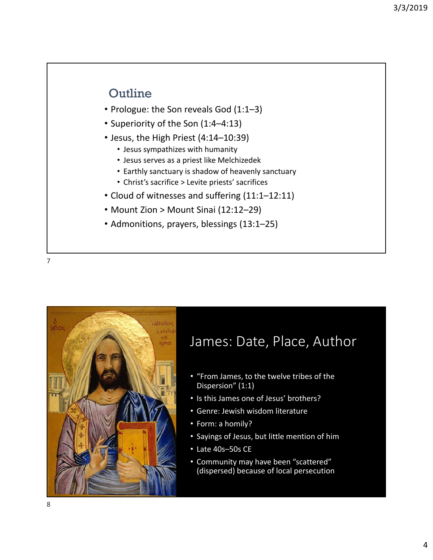- Prologue: the Son reveals God (1:1–3)
- Superiority of the Son (1:4–4:13)
- Jesus, the High Priest (4:14–10:39)
	- Jesus sympathizes with humanity
	- Jesus serves as a priest like Melchizedek
	- Earthly sanctuary is shadow of heavenly sanctuary
	- Christ's sacrifice > Levite priests' sacrifices
- Cloud of witnesses and suffering (11:1–12:11)
- Mount Zion > Mount Sinai (12:12–29)
- Admonitions, prayers, blessings (13:1–25)

7



# James: Date, Place, Author

- "From James, to the twelve tribes of the Dispersion" (1:1)
- Is this James one of Jesus' brothers?
- Genre: Jewish wisdom literature
- Form: a homily?
- Sayings of Jesus, but little mention of him
- Late 40s–50s CE
- Community may have been "scattered" (dispersed) because of local persecution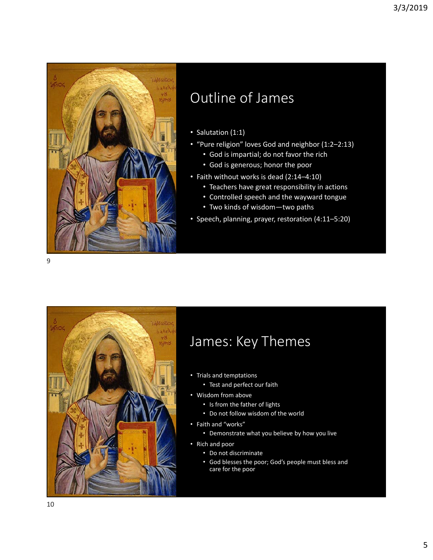

# Outline of James

- Salutation (1:1)
- "Pure religion" loves God and neighbor (1:2–2:13)
	- God is impartial; do not favor the rich
	- God is generous; honor the poor
- Faith without works is dead (2:14–4:10)
	- Teachers have great responsibility in actions
	- Controlled speech and the wayward tongue
	- Two kinds of wisdom—two paths
- Speech, planning, prayer, restoration (4:11–5:20)



## James: Key Themes

- Trials and temptations
	- Test and perfect our faith
- Wisdom from above
	- Is from the father of lights
	- Do not follow wisdom of the world
- Faith and "works"
	- Demonstrate what you believe by how you live
- Rich and poor
	- Do not discriminate
	- God blesses the poor; God's people must bless and care for the poor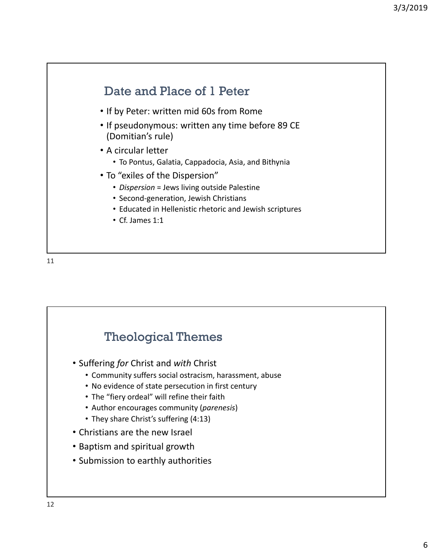

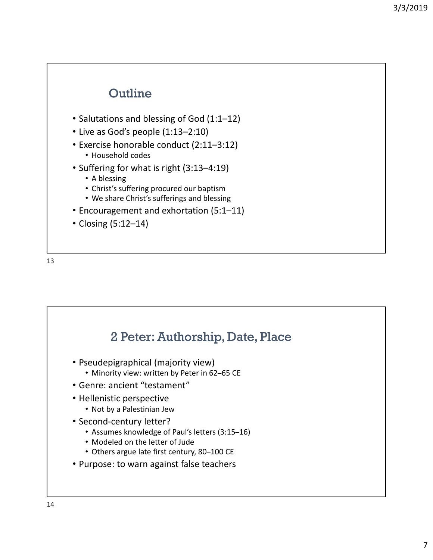- Salutations and blessing of God (1:1–12)
- Live as God's people (1:13–2:10)
- Exercise honorable conduct (2:11–3:12)
	- Household codes
- Suffering for what is right (3:13–4:19)
	- A blessing
	- Christ's suffering procured our baptism
	- We share Christ's sufferings and blessing
- Encouragement and exhortation (5:1–11)
- Closing (5:12–14)

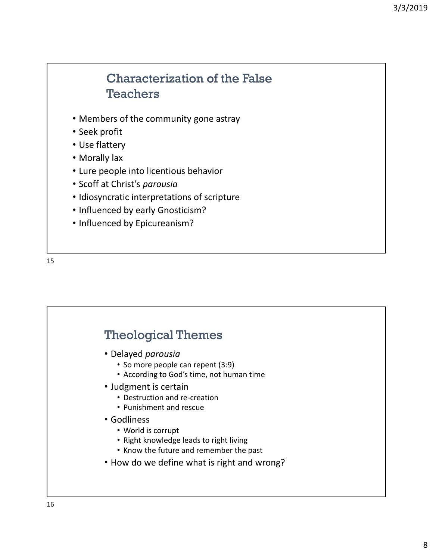#### Characterization of the False **Teachers**

- Members of the community gone astray
- Seek profit
- Use flattery
- Morally lax
- Lure people into licentious behavior
- Scoff at Christ's *parousia*
- Idiosyncratic interpretations of scripture
- Influenced by early Gnosticism?
- Influenced by Epicureanism?



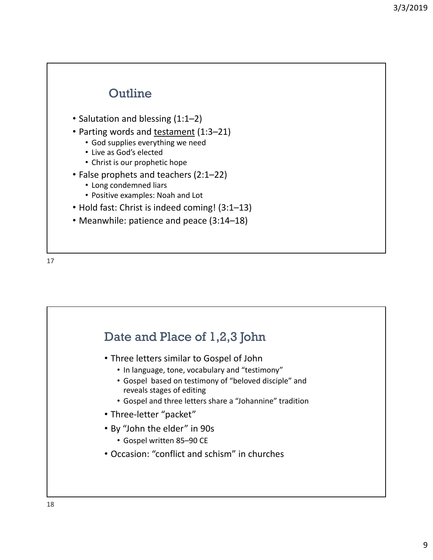- Salutation and blessing (1:1–2)
- Parting words and testament (1:3-21)
	- God supplies everything we need
	- Live as God's elected
	- Christ is our prophetic hope
- False prophets and teachers (2:1–22)
	- Long condemned liars
	- Positive examples: Noah and Lot
- Hold fast: Christ is indeed coming! (3:1–13)
- Meanwhile: patience and peace (3:14–18)



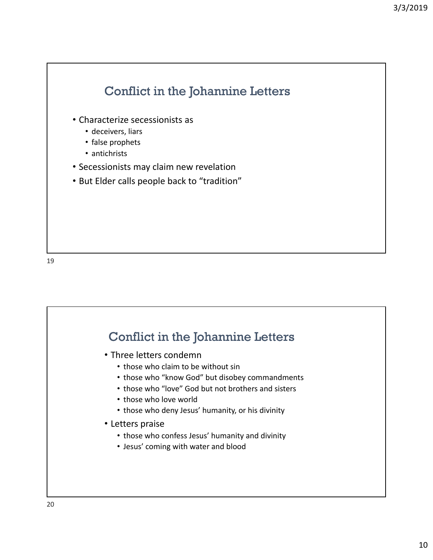

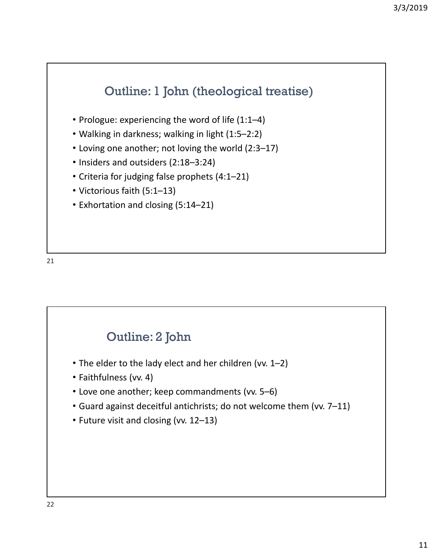### Outline: 1 John (theological treatise)

- Prologue: experiencing the word of life (1:1–4)
- Walking in darkness; walking in light (1:5–2:2)
- Loving one another; not loving the world (2:3–17)
- Insiders and outsiders (2:18–3:24)
- Criteria for judging false prophets (4:1–21)
- Victorious faith (5:1–13)
- Exhortation and closing (5:14–21)

21

#### Outline: 2 John

- The elder to the lady elect and her children (vv. 1–2)
- Faithfulness (vv. 4)
- Love one another; keep commandments (vv. 5–6)
- Guard against deceitful antichrists; do not welcome them (vv. 7–11)
- Future visit and closing (vv. 12–13)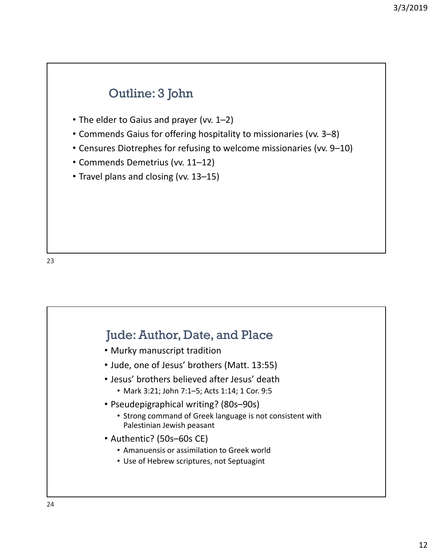# • The elder to Gaius and prayer (vv. 1–2) • Commends Gaius for offering hospitality to missionaries (vv. 3–8) • Censures Diotrephes for refusing to welcome missionaries (vv. 9–10) • Commends Demetrius (vv. 11–12) • Travel plans and closing (vv. 13–15) Outline: 3 John

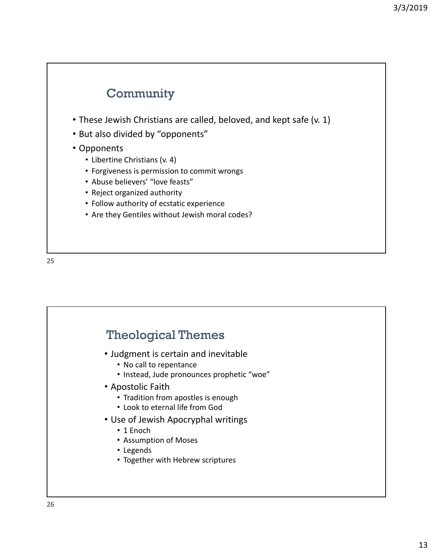### **Community**

- These Jewish Christians are called, beloved, and kept safe (v. 1)
- But also divided by "opponents"
- Opponents
	- Libertine Christians (v. 4)
	- Forgiveness is permission to commit wrongs
	- Abuse believers' "love feasts"
	- Reject organized authority
	- Follow authority of ecstatic experience
	- Are they Gentiles without Jewish moral codes?